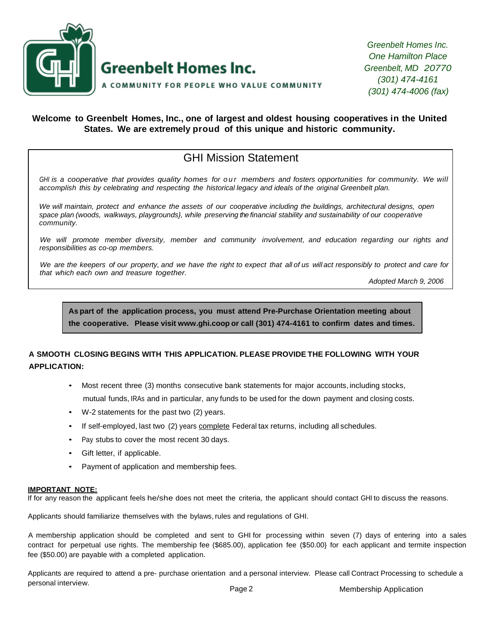

*Greenbelt Homes Inc. One Hamilton Place Greenbelt, MD 20770 (301) 474-4161 (301) 474-4006 (fax)*

#### **Welcome to Greenbelt Homes, Inc., one of largest and oldest housing cooperatives in the United States. We are extremely proud of this unique and historic community.**

# GHI Mission Statement

GHI is a cooperative that provides quality homes for our members and fosters opportunities for community. We will *accomplish this by celebrating and respecting the historical legacy and ideals of the original Greenbelt plan.*

We will maintain, protect and enhance the assets of our cooperative including the buildings, architectural designs, open *space plan (woods, walkways, playgrounds}, while preserving the financial stability and sustainability of our cooperative community.*

*We will promote member diversity, member and community involvement, and education regarding our rights and responsibilities as co-op members.*

We are the keepers of our property, and we have the right to expect that all of us will act responsibly to protect and care for *that which each own and treasure together.*

*Adopted March 9, 2006*

**As part of the application process, you must attend Pre-Purchase Orientation meeting about the cooperative. Please visit [www.ghi.coop](http://www.ghi.coop/) or call (301) 474-4161 to confirm dates and times.**

### **A SMOOTH CLOSING BEGINS WITH THIS APPLICATION. PLEASE PROVIDE THE FOLLOWING WITH YOUR APPLICATION:**

- Most recent three (3) months consecutive bank statements for major accounts, including stocks, mutual funds, IRAs and in particular, any funds to be used for the down payment and closing costs.
- W-2 statements for the past two (2) years.
- If self-employed, last two (2) years complete Federal tax returns, including all schedules.
- Pay stubs to cover the most recent 30 days.
- Gift letter, if applicable.
- Payment of application and membership fees.

#### **IMPORTANT NOTE:**

If for any reason the applicant feels he/she does not meet the criteria, the applicant should contact GHI to discuss the reasons.

Applicants should familiarize themselves with the bylaws, rules and regulations of GHI.

A membership application should be completed and sent to GHI for processing within seven (7) days of entering into a sales contract for perpetual use rights. The membership fee (\$685.00), application fee (\$50.00} for each applicant and termite inspection fee (\$50.00) are payable with a completed application.

Applicants are required to attend a pre- purchase orientation and a personal interview. Please call Contract Processing to schedule a personal interview.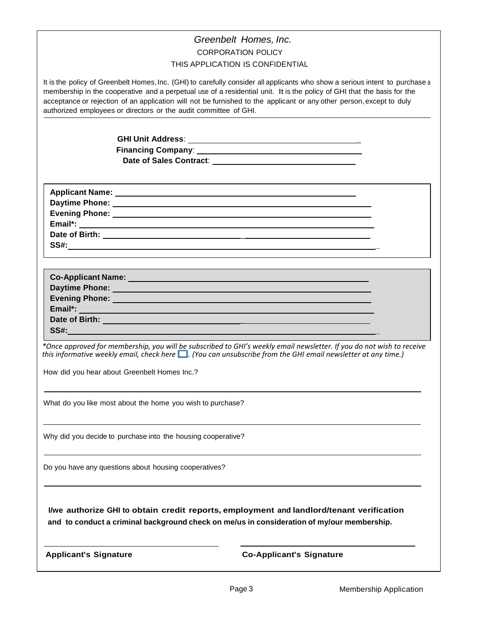| Greenbelt Homes, Inc.                                                                                                                                                                                                                                                                                                                                                                                                                                                                                                                                                                                                                                                                                                                                                                                                                                    |
|----------------------------------------------------------------------------------------------------------------------------------------------------------------------------------------------------------------------------------------------------------------------------------------------------------------------------------------------------------------------------------------------------------------------------------------------------------------------------------------------------------------------------------------------------------------------------------------------------------------------------------------------------------------------------------------------------------------------------------------------------------------------------------------------------------------------------------------------------------|
| <b>CORPORATION POLICY</b>                                                                                                                                                                                                                                                                                                                                                                                                                                                                                                                                                                                                                                                                                                                                                                                                                                |
| THIS APPLICATION IS CONFIDENTIAL                                                                                                                                                                                                                                                                                                                                                                                                                                                                                                                                                                                                                                                                                                                                                                                                                         |
| It is the policy of Greenbelt Homes, Inc. (GHI) to carefully consider all applicants who show a serious intent to purchase a<br>membership in the cooperative and a perpetual use of a residential unit. It is the policy of GHI that the basis for the<br>acceptance or rejection of an application will not be furnished to the applicant or any other person, except to duly<br>authorized employees or directors or the audit committee of GHI.                                                                                                                                                                                                                                                                                                                                                                                                      |
|                                                                                                                                                                                                                                                                                                                                                                                                                                                                                                                                                                                                                                                                                                                                                                                                                                                          |
|                                                                                                                                                                                                                                                                                                                                                                                                                                                                                                                                                                                                                                                                                                                                                                                                                                                          |
|                                                                                                                                                                                                                                                                                                                                                                                                                                                                                                                                                                                                                                                                                                                                                                                                                                                          |
|                                                                                                                                                                                                                                                                                                                                                                                                                                                                                                                                                                                                                                                                                                                                                                                                                                                          |
| $SS#:\underbrace{\qquad \qquad }$<br>Evening Phone: New York Changes and The Changes of the Changes of the Changes of the Changes of the Changes of the Changes of the Changes of the Changes of the Changes of the Changes of the Changes of the Changes of the Ch<br>Email*:<br>Date of Birth: <u>Date of Birth:</u> Date of Birth: <b>Date of Birth:</b> 2004<br>SS#: <u>contract and contract and contract and contract and contract and contract and contract and contract and contract and contract and contract and contract and contract and contract and contract and contract and contract</u><br>*Once approved for membership, you will be subscribed to GHI's weekly email newsletter. If you do not wish to receive<br>this informative weekly email, check here $\Box$ . (You can unsubscribe from the GHI email newsletter at any time.) |
| How did you hear about Greenbelt Homes Inc.?                                                                                                                                                                                                                                                                                                                                                                                                                                                                                                                                                                                                                                                                                                                                                                                                             |
|                                                                                                                                                                                                                                                                                                                                                                                                                                                                                                                                                                                                                                                                                                                                                                                                                                                          |
| What do you like most about the home you wish to purchase?                                                                                                                                                                                                                                                                                                                                                                                                                                                                                                                                                                                                                                                                                                                                                                                               |
| Why did you decide to purchase into the housing cooperative?                                                                                                                                                                                                                                                                                                                                                                                                                                                                                                                                                                                                                                                                                                                                                                                             |
| Do you have any questions about housing cooperatives?                                                                                                                                                                                                                                                                                                                                                                                                                                                                                                                                                                                                                                                                                                                                                                                                    |
| I/we authorize GHI to obtain credit reports, employment and landlord/tenant verification<br>and to conduct a criminal background check on me/us in consideration of my/our membership.                                                                                                                                                                                                                                                                                                                                                                                                                                                                                                                                                                                                                                                                   |
| <b>Applicant's Signature</b><br><b>Co-Applicant's Signature</b>                                                                                                                                                                                                                                                                                                                                                                                                                                                                                                                                                                                                                                                                                                                                                                                          |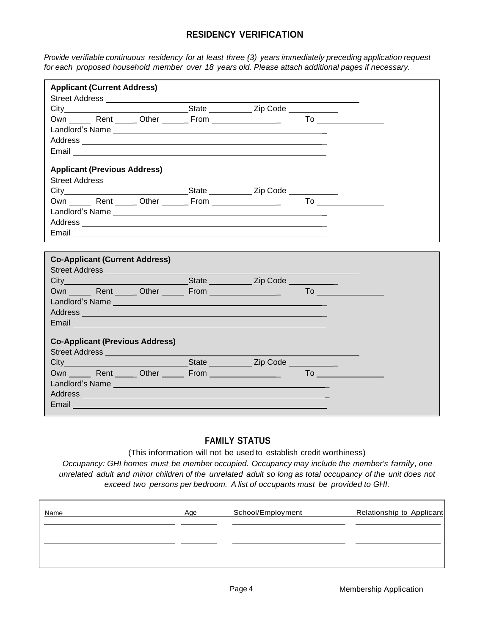# **RESIDENCY VERIFICATION**

*Provide verifiable continuous residency for at least three {3) years immediately preceding application request for each proposed household member over 18 years old. Please attach additional pages if necessary.*

| <b>Applicant (Current Address)</b>                                                                                                                                                                                                                                                                                                                      |  |  |  |
|---------------------------------------------------------------------------------------------------------------------------------------------------------------------------------------------------------------------------------------------------------------------------------------------------------------------------------------------------------|--|--|--|
|                                                                                                                                                                                                                                                                                                                                                         |  |  |  |
|                                                                                                                                                                                                                                                                                                                                                         |  |  |  |
|                                                                                                                                                                                                                                                                                                                                                         |  |  |  |
|                                                                                                                                                                                                                                                                                                                                                         |  |  |  |
|                                                                                                                                                                                                                                                                                                                                                         |  |  |  |
|                                                                                                                                                                                                                                                                                                                                                         |  |  |  |
| <b>Applicant (Previous Address)</b>                                                                                                                                                                                                                                                                                                                     |  |  |  |
|                                                                                                                                                                                                                                                                                                                                                         |  |  |  |
|                                                                                                                                                                                                                                                                                                                                                         |  |  |  |
| Own Rent Other From To                                                                                                                                                                                                                                                                                                                                  |  |  |  |
| Landlord's Name experience and a series of the series of the series of the series of the series of the series                                                                                                                                                                                                                                           |  |  |  |
| Address <b>Management Community and Community</b> and Community and Community and Community and Community and Community                                                                                                                                                                                                                                 |  |  |  |
|                                                                                                                                                                                                                                                                                                                                                         |  |  |  |
|                                                                                                                                                                                                                                                                                                                                                         |  |  |  |
| <b>Co-Applicant (Current Address)</b>                                                                                                                                                                                                                                                                                                                   |  |  |  |
| Street Address <b>Contract Contract Contract Contract Contract Contract Contract Contract Contract Contract Contract Contract Contract Contract Contract Contract Contract Contract Contract Contract Contract Contract Contract</b>                                                                                                                    |  |  |  |
|                                                                                                                                                                                                                                                                                                                                                         |  |  |  |
| Own Rent Other From To                                                                                                                                                                                                                                                                                                                                  |  |  |  |
|                                                                                                                                                                                                                                                                                                                                                         |  |  |  |
|                                                                                                                                                                                                                                                                                                                                                         |  |  |  |
|                                                                                                                                                                                                                                                                                                                                                         |  |  |  |
| Address and the contract of the contract of the contract of the contract of the contract of the contract of the<br>Email <b>Executive Contract of Contract Contract Contract Contract Contract Contract Contract Contract Contract Contract Contract Contract Contract Contract Contract Contract Contract Contract Contract Contract Contract Cont</b> |  |  |  |
|                                                                                                                                                                                                                                                                                                                                                         |  |  |  |
| <b>Co-Applicant (Previous Address)</b>                                                                                                                                                                                                                                                                                                                  |  |  |  |
| Street Address ______________________                                                                                                                                                                                                                                                                                                                   |  |  |  |
|                                                                                                                                                                                                                                                                                                                                                         |  |  |  |
| Own Rent Other From To To                                                                                                                                                                                                                                                                                                                               |  |  |  |
|                                                                                                                                                                                                                                                                                                                                                         |  |  |  |
| Address entertainment and the contract of the contract of the contract of the contract of the contract of the<br>Email <b>Executive Contract Contract Contract Contract Contract Contract Contract Contract Contract Contract Contract Contract Contract Contract Contract Contract Contract Contract Contract Contract Contract Contract Contrac</b>   |  |  |  |

### **FAMILY STATUS**

(This information will not be used to establish credit worthiness)

*Occupancy: GHI homes must be member occupied. Occupancy may include the member's family, one*  unrelated adult and minor children of the unrelated adult so long as total occupancy of the unit does not *exceed two persons per bedroom. A list of occupants must be provided to GHI.*

| Name | Age | School/Employment | Relationship to Applicant |
|------|-----|-------------------|---------------------------|
|      |     |                   |                           |
|      |     |                   |                           |
|      |     |                   |                           |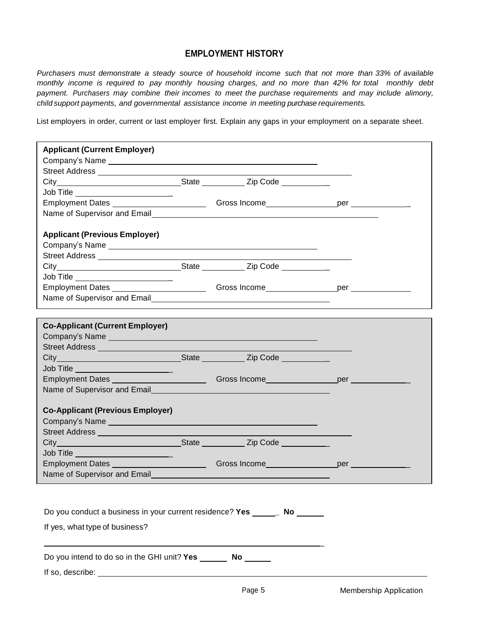### **EMPLOYMENT HISTORY**

*Purchasers must demonstrate a steady source of household income such that not more than 33% of available monthly income is required to pay monthly housing charges, and no more than 42% for total monthly debt payment. Purchasers may combine their incomes to meet the purchase requirements and may include alimony, child support payments, and governmental assistance income in meeting purchase requirements.*

List employers in order, current or last employer first. Explain any gaps in your employment on a separate sheet.

| <b>Applicant (Current Employer)</b>                                                                                                                                                                                           |  |  |  |  |  |
|-------------------------------------------------------------------------------------------------------------------------------------------------------------------------------------------------------------------------------|--|--|--|--|--|
|                                                                                                                                                                                                                               |  |  |  |  |  |
|                                                                                                                                                                                                                               |  |  |  |  |  |
|                                                                                                                                                                                                                               |  |  |  |  |  |
| Job Title _______________________                                                                                                                                                                                             |  |  |  |  |  |
|                                                                                                                                                                                                                               |  |  |  |  |  |
| Name of Supervisor and Email<br>Name of Supervisor and Email                                                                                                                                                                  |  |  |  |  |  |
| <b>Applicant (Previous Employer)</b>                                                                                                                                                                                          |  |  |  |  |  |
| Company's Name example and the state of the state of the state of the state of the state of the state of the state of the state of the state of the state of the state of the state of the state of the state of the state of |  |  |  |  |  |
| Street Address _____________________                                                                                                                                                                                          |  |  |  |  |  |
|                                                                                                                                                                                                                               |  |  |  |  |  |
| Job Title _______________________                                                                                                                                                                                             |  |  |  |  |  |
| Employment Dates ________________________Gross Income__________________per ____________                                                                                                                                       |  |  |  |  |  |
| Name of Supervisor and Email experience and the state of Supervisor and Email                                                                                                                                                 |  |  |  |  |  |
|                                                                                                                                                                                                                               |  |  |  |  |  |
| <b>Co-Applicant (Current Employer)</b>                                                                                                                                                                                        |  |  |  |  |  |
| Company's Name experience of the company's Name of the company's Name of the company's name of the company's n                                                                                                                |  |  |  |  |  |
|                                                                                                                                                                                                                               |  |  |  |  |  |
|                                                                                                                                                                                                                               |  |  |  |  |  |
| Job Title ________________________                                                                                                                                                                                            |  |  |  |  |  |
| Employment Dates ___________________________Gross Income___________________per ___________                                                                                                                                    |  |  |  |  |  |
|                                                                                                                                                                                                                               |  |  |  |  |  |
| <b>Co-Applicant (Previous Employer)</b>                                                                                                                                                                                       |  |  |  |  |  |
|                                                                                                                                                                                                                               |  |  |  |  |  |
|                                                                                                                                                                                                                               |  |  |  |  |  |
|                                                                                                                                                                                                                               |  |  |  |  |  |
| Job Title ________________________                                                                                                                                                                                            |  |  |  |  |  |
| Employment Dates ____________________________                                                                                                                                                                                 |  |  |  |  |  |
| Name of Supervisor and Email                                                                                                                                                                                                  |  |  |  |  |  |
|                                                                                                                                                                                                                               |  |  |  |  |  |
|                                                                                                                                                                                                                               |  |  |  |  |  |
| Do you conduct a business in your current residence? Yes _______ No                                                                                                                                                           |  |  |  |  |  |
| If yes, what type of business?                                                                                                                                                                                                |  |  |  |  |  |
|                                                                                                                                                                                                                               |  |  |  |  |  |
| Do you intend to do so in the GHI unit? Yes No                                                                                                                                                                                |  |  |  |  |  |
|                                                                                                                                                                                                                               |  |  |  |  |  |
|                                                                                                                                                                                                                               |  |  |  |  |  |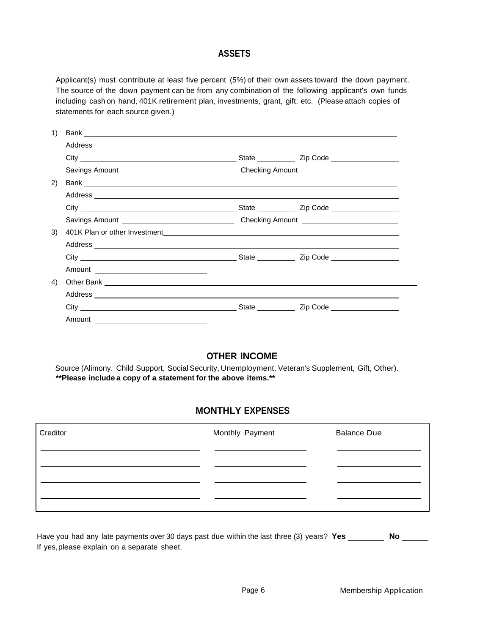### **ASSETS**

Applicant(s) must contribute at least five percent (5%) of their own assets toward the down payment. The source of the down payment can be from any combination of the following applicant's own funds including cash on hand, 401K retirement plan, investments, grant, gift, etc. (Please attach copies of statements for each source given.)

| 1) |                                                                                                                |  |  |
|----|----------------------------------------------------------------------------------------------------------------|--|--|
|    |                                                                                                                |  |  |
|    |                                                                                                                |  |  |
|    |                                                                                                                |  |  |
| 2) |                                                                                                                |  |  |
|    |                                                                                                                |  |  |
|    |                                                                                                                |  |  |
|    |                                                                                                                |  |  |
| 3) |                                                                                                                |  |  |
|    |                                                                                                                |  |  |
|    |                                                                                                                |  |  |
|    |                                                                                                                |  |  |
| 4) |                                                                                                                |  |  |
|    |                                                                                                                |  |  |
|    | City City Code City Contract City Code City Code City Code City Code City Code City Code City Code City Code C |  |  |
|    | Amount                                                                                                         |  |  |

# **OTHER INCOME**

Source (Alimony, Child Support, Social Security, Unemployment, Veteran's Supplement, Gift, Other). **\*\*Please include a copy of a statement for the above items.\*\***

# **MONTHLY EXPENSES**

| Creditor | Monthly Payment | <b>Balance Due</b> |
|----------|-----------------|--------------------|
|          |                 |                    |
|          |                 |                    |
|          |                 |                    |

Have you had any late payments over 30 days past due within the last three (3) years? **Yes No**If yes,please explain on a separate sheet.